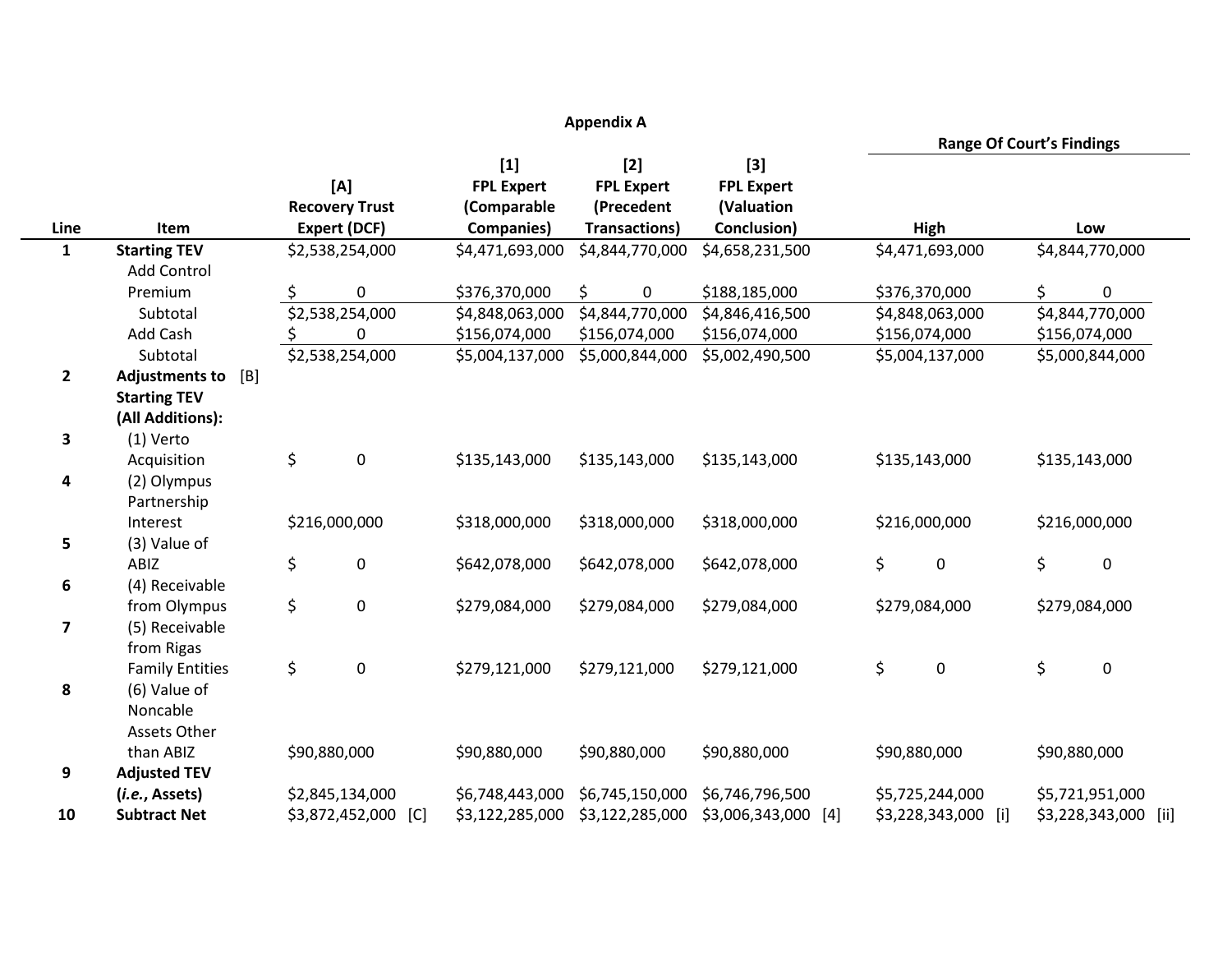| <b>Appendix A</b> |                              |                     |                        |                   |                      |                        |                 |                                  |                                  |                 |  |
|-------------------|------------------------------|---------------------|------------------------|-------------------|----------------------|------------------------|-----------------|----------------------------------|----------------------------------|-----------------|--|
|                   |                              |                     |                        |                   |                      |                        |                 | <b>Range Of Court's Findings</b> |                                  |                 |  |
|                   |                              |                     |                        | $[1]$             | $[2]$                | $[3]$                  |                 |                                  |                                  |                 |  |
|                   |                              |                     | [A]                    | <b>FPL Expert</b> | <b>FPL Expert</b>    | <b>FPL Expert</b>      |                 |                                  |                                  |                 |  |
|                   |                              |                     | <b>Recovery Trust</b>  | (Comparable       | (Precedent           | (Valuation             |                 |                                  |                                  |                 |  |
| Line              | Item                         | <b>Expert (DCF)</b> |                        | <b>Companies)</b> | <b>Transactions)</b> | Conclusion)            | High            |                                  | Low                              |                 |  |
| $\mathbf{1}$      | <b>Starting TEV</b>          | \$2,538,254,000     |                        | \$4,471,693,000   | \$4,844,770,000      | \$4,658,231,500        | \$4,471,693,000 |                                  | \$4,844,770,000                  |                 |  |
|                   | <b>Add Control</b>           |                     |                        |                   |                      |                        |                 |                                  |                                  |                 |  |
|                   | Premium                      | \$                  | $\mathbf 0$            | \$376,370,000     | \$<br>$\pmb{0}$      | \$188,185,000          |                 | \$376,370,000                    | \$                               | $\pmb{0}$       |  |
|                   | Subtotal                     |                     | \$2,538,254,000        | \$4,848,063,000   | \$4,844,770,000      | \$4,846,416,500        |                 | \$4,848,063,000                  |                                  | \$4,844,770,000 |  |
|                   | Add Cash                     |                     | 0                      | \$156,074,000     | \$156,074,000        | \$156,074,000          |                 | \$156,074,000                    | \$156,074,000<br>\$5,000,844,000 |                 |  |
|                   | Subtotal                     |                     | \$2,538,254,000        | \$5,004,137,000   | \$5,000,844,000      | \$5,002,490,500        |                 | \$5,004,137,000                  |                                  |                 |  |
| $\overline{2}$    | <b>Adjustments to</b><br>[B] |                     |                        |                   |                      |                        |                 |                                  |                                  |                 |  |
|                   | <b>Starting TEV</b>          |                     |                        |                   |                      |                        |                 |                                  |                                  |                 |  |
|                   | (All Additions):             |                     |                        |                   |                      |                        |                 |                                  |                                  |                 |  |
| 3                 | (1) Verto                    |                     |                        |                   |                      |                        |                 |                                  |                                  |                 |  |
|                   | Acquisition                  | \$                  | $\mathbf 0$            | \$135,143,000     | \$135,143,000        | \$135,143,000          |                 | \$135,143,000                    |                                  | \$135,143,000   |  |
| 4                 | (2) Olympus                  |                     |                        |                   |                      |                        |                 |                                  |                                  |                 |  |
|                   | Partnership                  |                     |                        |                   |                      |                        |                 |                                  |                                  |                 |  |
|                   | Interest                     |                     | \$216,000,000          | \$318,000,000     | \$318,000,000        | \$318,000,000          | \$216,000,000   |                                  | \$216,000,000                    |                 |  |
| 5                 | (3) Value of                 |                     |                        |                   |                      |                        |                 |                                  |                                  |                 |  |
|                   | ABIZ                         | \$                  | 0                      | \$642,078,000     | \$642,078,000        | \$642,078,000          | \$              | $\boldsymbol{0}$                 | \$                               | $\pmb{0}$       |  |
| 6                 | (4) Receivable               |                     |                        |                   |                      |                        |                 |                                  |                                  |                 |  |
|                   | from Olympus                 | \$                  | $\boldsymbol{0}$       | \$279,084,000     | \$279,084,000        | \$279,084,000          |                 | \$279,084,000                    |                                  | \$279,084,000   |  |
| 7                 | (5) Receivable               |                     |                        |                   |                      |                        |                 |                                  |                                  |                 |  |
|                   | from Rigas                   |                     |                        |                   |                      |                        |                 |                                  |                                  |                 |  |
|                   | <b>Family Entities</b>       | \$                  | $\mathbf 0$            | \$279,121,000     | \$279,121,000        | \$279,121,000          | \$              | $\mathbf 0$                      | \$                               | $\mathbf 0$     |  |
| 8                 | (6) Value of                 |                     |                        |                   |                      |                        |                 |                                  |                                  |                 |  |
|                   | Noncable                     |                     |                        |                   |                      |                        |                 |                                  |                                  |                 |  |
|                   | Assets Other                 |                     |                        |                   |                      |                        |                 |                                  |                                  |                 |  |
|                   | than ABIZ                    | \$90,880,000        |                        | \$90,880,000      | \$90,880,000         | \$90,880,000           |                 | \$90,880,000                     | \$90,880,000                     |                 |  |
| 9                 | <b>Adjusted TEV</b>          |                     |                        |                   |                      |                        |                 |                                  |                                  |                 |  |
|                   | (i.e., Assets)               |                     | \$2,845,134,000        | \$6,748,443,000   | \$6,745,150,000      | \$6,746,796,500        |                 | \$5,725,244,000                  | \$5,721,951,000                  |                 |  |
| 10                | <b>Subtract Net</b>          |                     | \$3,872,452,000<br>[C] | \$3,122,285,000   | \$3,122,285,000      | \$3,006,343,000<br>[4] |                 | \$3,228,343,000<br>[1]           | \$3,228,343,000<br>[iii]         |                 |  |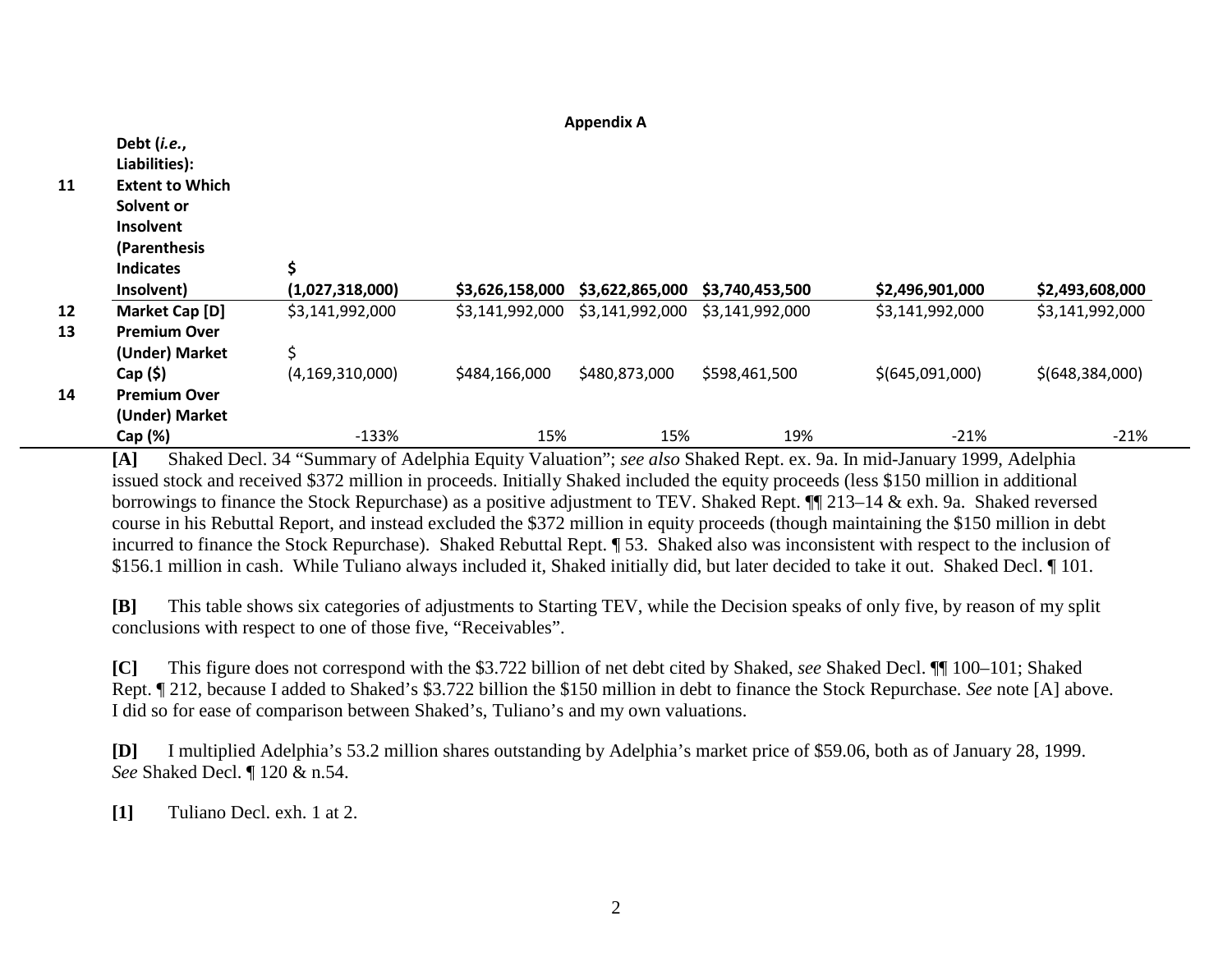|    | Debt (i.e.,<br>Liabilities): |                    |                 |                 |                 |                 |                   |
|----|------------------------------|--------------------|-----------------|-----------------|-----------------|-----------------|-------------------|
| 11 | <b>Extent to Which</b>       |                    |                 |                 |                 |                 |                   |
|    | Solvent or                   |                    |                 |                 |                 |                 |                   |
|    | Insolvent                    |                    |                 |                 |                 |                 |                   |
|    | (Parenthesis                 |                    |                 |                 |                 |                 |                   |
|    | <b>Indicates</b>             | \$                 |                 |                 |                 |                 |                   |
|    | Insolvent)                   | (1,027,318,000)    | \$3,626,158,000 | \$3,622,865,000 | \$3,740,453,500 | \$2,496,901,000 | \$2,493,608,000   |
| 12 | Market Cap [D]               | \$3,141,992,000    | \$3,141,992,000 | \$3,141,992,000 | \$3,141,992,000 | \$3,141,992,000 | \$3,141,992,000   |
| 13 | <b>Premium Over</b>          |                    |                 |                 |                 |                 |                   |
|    | (Under) Market               | Ś                  |                 |                 |                 |                 |                   |
|    | $Cap($ \$)                   | (4, 169, 310, 000) | \$484,166,000   | \$480,873,000   | \$598,461,500   | \$(645,091,000) | \$(648, 384, 000) |
| 14 | <b>Premium Over</b>          |                    |                 |                 |                 |                 |                   |
|    | (Under) Market               |                    |                 |                 |                 |                 |                   |
|    | Cap (%)                      | $-133%$            | 15%             | 15%             | 19%             | $-21%$          | $-21%$            |

**Appendix A**

**[A]** Shaked Decl. 34 "Summary of Adelphia Equity Valuation"; *see also* Shaked Rept. ex. 9a. In mid-January 1999, Adelphia issued stock and received \$372 million in proceeds. Initially Shaked included the equity proceeds (less \$150 million in additional borrowings to finance the Stock Repurchase) as a positive adjustment to TEV. Shaked Rept. ¶¶ 213–14 & exh. 9a. Shaked reversed course in his Rebuttal Report, and instead excluded the \$372 million in equity proceeds (though maintaining the \$150 million in debt incurred to finance the Stock Repurchase). Shaked Rebuttal Rept. ¶ 53. Shaked also was inconsistent with respect to the inclusion of \$156.1 million in cash. While Tuliano always included it, Shaked initially did, but later decided to take it out. Shaked Decl. ¶ 101.

**[B]** This table shows six categories of adjustments to Starting TEV, while the Decision speaks of only five, by reason of my split conclusions with respect to one of those five, "Receivables".

**[C]** This figure does not correspond with the \$3.722 billion of net debt cited by Shaked, *see* Shaked Decl. ¶¶ 100–101; Shaked Rept. ¶ 212, because I added to Shaked's \$3.722 billion the \$150 million in debt to finance the Stock Repurchase. *See* note [A] above. I did so for ease of comparison between Shaked's, Tuliano's and my own valuations.

**[D]** I multiplied Adelphia's 53.2 million shares outstanding by Adelphia's market price of \$59.06, both as of January 28, 1999. *See* Shaked Decl. ¶ 120 & n.54.

**[1]** Tuliano Decl. exh. 1 at 2.